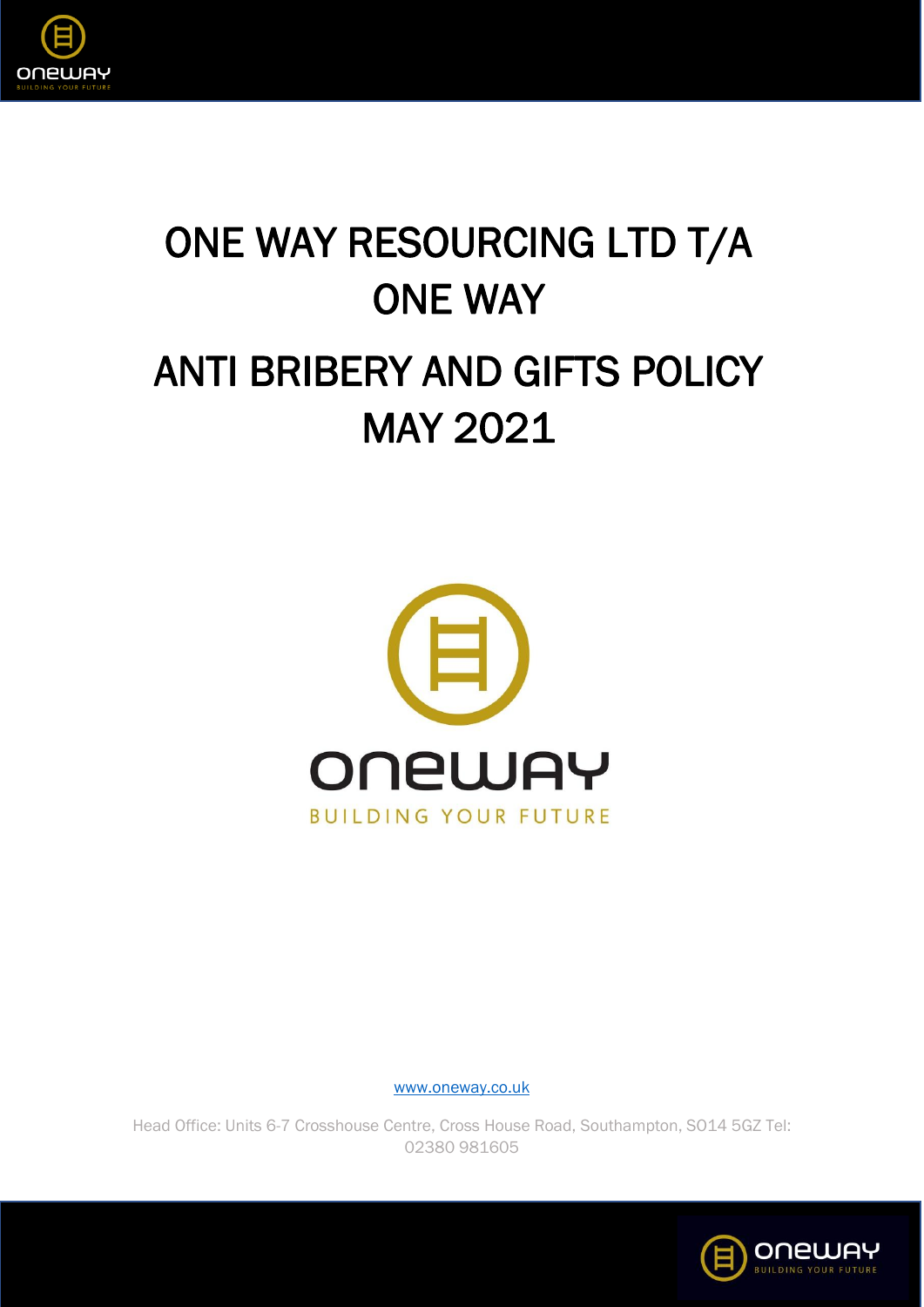

# ONE WAY RESOURCING LTD T/A ONE WAY ANTI BRIBERY AND GIFTS POLICY MAY 2021



[www.oneway.co.uk](http://www.oneway.co.uk/)

Head Office: Units 6-7 Crosshouse Centre, Cross House Road, Southampton, SO14 5GZ Tel: 02380 981605

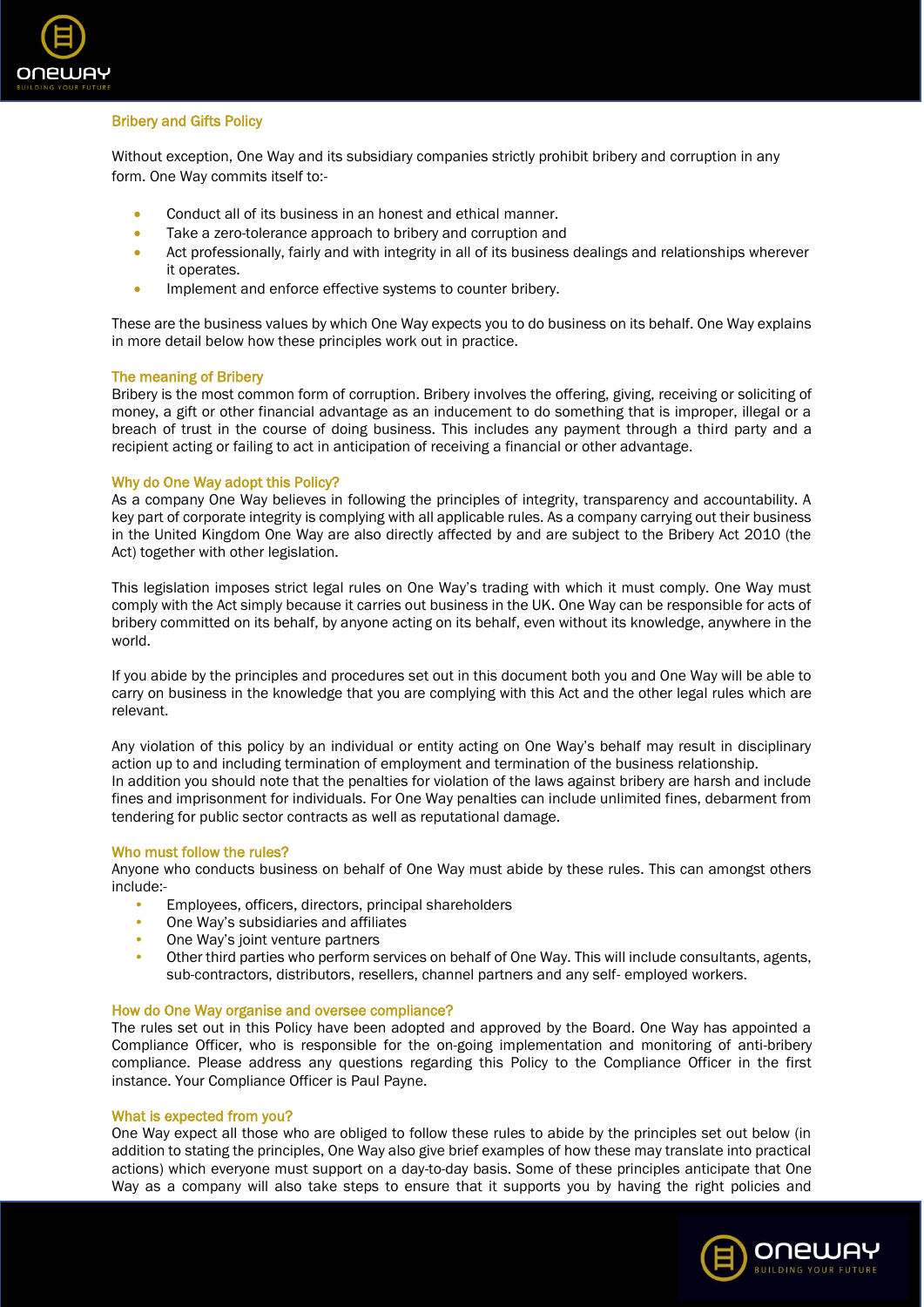

# Bribery and Gifts Policy

Without exception, One Way and its subsidiary companies strictly prohibit bribery and corruption in any form. One Way commits itself to:-

- Conduct all of its business in an honest and ethical manner.
- Take a zero-tolerance approach to bribery and corruption and
- Act professionally, fairly and with integrity in all of its business dealings and relationships wherever it operates.
- Implement and enforce effective systems to counter bribery.

These are the business values by which One Way expects you to do business on its behalf. One Way explains in more detail below how these principles work out in practice.

# The meaning of Bribery

Bribery is the most common form of corruption. Bribery involves the offering, giving, receiving or soliciting of money, a gift or other financial advantage as an inducement to do something that is improper, illegal or a breach of trust in the course of doing business. This includes any payment through a third party and a recipient acting or failing to act in anticipation of receiving a financial or other advantage.

# Why do One Way adopt this Policy?

As a company One Way believes in following the principles of integrity, transparency and accountability. A key part of corporate integrity is complying with all applicable rules. As a company carrying out their business in the United Kingdom One Way are also directly affected by and are subject to the Bribery Act 2010 (the Act) together with other legislation.

This legislation imposes strict legal rules on One Way's trading with which it must comply. One Way must comply with the Act simply because it carries out business in the UK. One Way can be responsible for acts of bribery committed on its behalf, by anyone acting on its behalf, even without its knowledge, anywhere in the world.

If you abide by the principles and procedures set out in this document both you and One Way will be able to carry on business in the knowledge that you are complying with this Act and the other legal rules which are relevant.

Any violation of this policy by an individual or entity acting on One Way's behalf may result in disciplinary action up to and including termination of employment and termination of the business relationship. In addition you should note that the penalties for violation of the laws against bribery are harsh and include fines and imprisonment for individuals. For One Way penalties can include unlimited fines, debarment from tendering for public sector contracts as well as reputational damage.

# Who must follow the rules?

Anyone who conducts business on behalf of One Way must abide by these rules. This can amongst others include:-

- Employees, officers, directors, principal shareholders
- One Way's subsidiaries and affiliates
- One Way's joint venture partners
- Other third parties who perform services on behalf of One Way. This will include consultants, agents, sub-contractors, distributors, resellers, channel partners and any self- employed workers.

# How do One Way organise and oversee compliance?

The rules set out in this Policy have been adopted and approved by the Board. One Way has appointed a Compliance Officer, who is responsible for the on-going implementation and monitoring of anti-bribery compliance. Please address any questions regarding this Policy to the Compliance Officer in the first instance. Your Compliance Officer is Paul Payne.

# What is expected from you?

One Way expect all those who are obliged to follow these rules to abide by the principles set out below (in addition to stating the principles, One Way also give brief examples of how these may translate into practical actions) which everyone must support on a day-to-day basis. Some of these principles anticipate that One Way as a company will also take steps to ensure that it supports you by having the right policies and

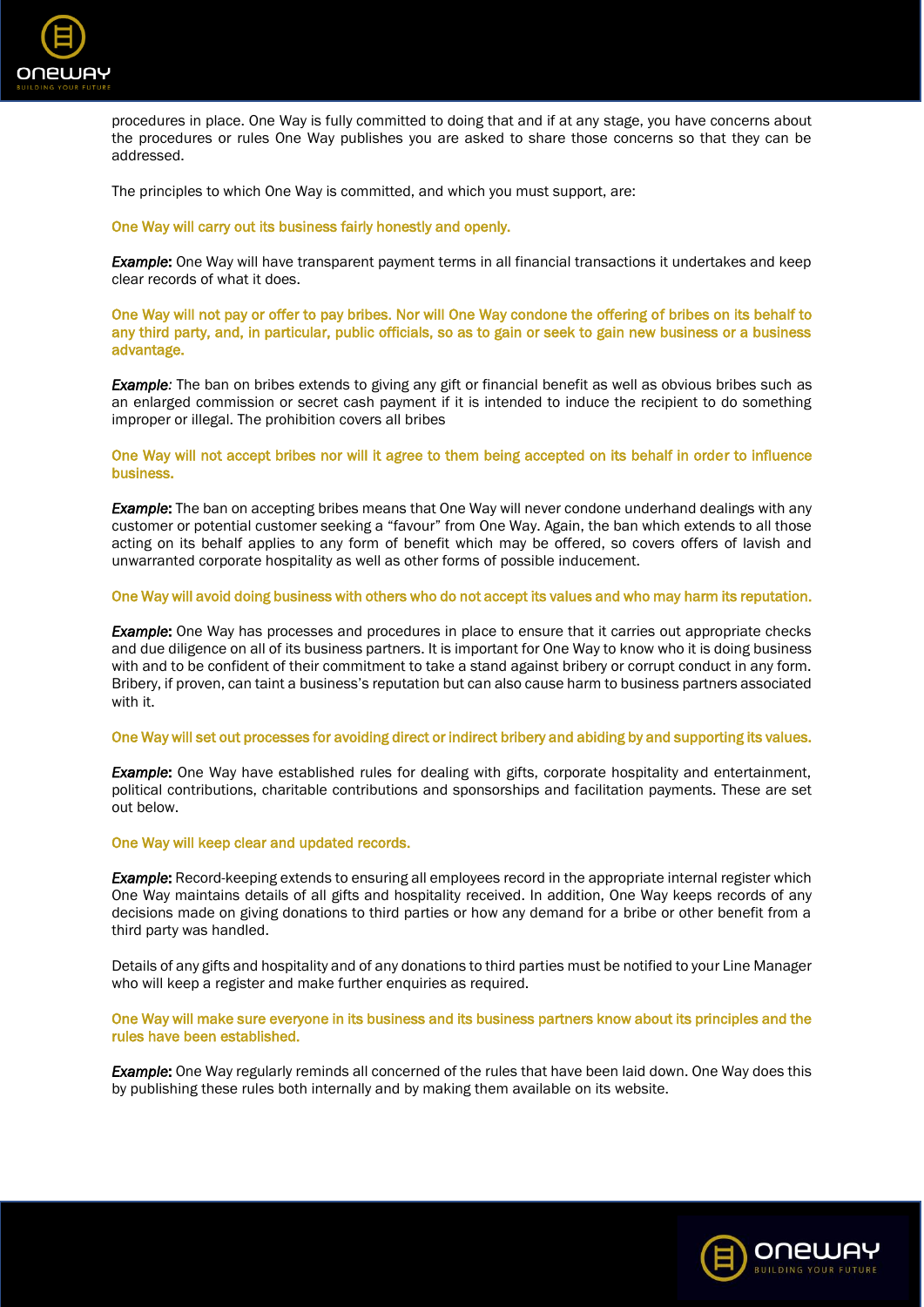

procedures in place. One Way is fully committed to doing that and if at any stage, you have concerns about the procedures or rules One Way publishes you are asked to share those concerns so that they can be addressed.

The principles to which One Way is committed, and which you must support, are:

# One Way will carry out its business fairly honestly and openly.

*Example*: One Way will have transparent payment terms in all financial transactions it undertakes and keep clear records of what it does.

One Way will not pay or offer to pay bribes. Nor will One Way condone the offering of bribes on its behalf to any third party, and, in particular, public officials, so as to gain or seek to gain new business or a business advantage.

*Example:* The ban on bribes extends to giving any gift or financial benefit as well as obvious bribes such as an enlarged commission or secret cash payment if it is intended to induce the recipient to do something improper or illegal. The prohibition covers all bribes

One Way will not accept bribes nor will it agree to them being accepted on its behalf in order to influence business.

**Example:** The ban on accepting bribes means that One Way will never condone underhand dealings with any customer or potential customer seeking a "favour" from One Way. Again, the ban which extends to all those acting on its behalf applies to any form of benefit which may be offered, so covers offers of lavish and unwarranted corporate hospitality as well as other forms of possible inducement.

# One Way will avoid doing business with others who do not accept its values and who may harm its reputation.

*Example***:** One Way has processes and procedures in place to ensure that it carries out appropriate checks and due diligence on all of its business partners. It is important for One Way to know who it is doing business with and to be confident of their commitment to take a stand against bribery or corrupt conduct in any form. Bribery, if proven, can taint a business's reputation but can also cause harm to business partners associated with it.

#### One Way will set out processes for avoiding direct or indirect bribery and abiding by and supporting its values.

**Example:** One Way have established rules for dealing with gifts, corporate hospitality and entertainment, political contributions, charitable contributions and sponsorships and facilitation payments. These are set out below.

# One Way will keep clear and updated records.

*Example*: Record-keeping extends to ensuring all employees record in the appropriate internal register which One Way maintains details of all gifts and hospitality received. In addition, One Way keeps records of any decisions made on giving donations to third parties or how any demand for a bribe or other benefit from a third party was handled.

Details of any gifts and hospitality and of any donations to third parties must be notified to your Line Manager who will keep a register and make further enquiries as required.

# One Way will make sure everyone in its business and its business partners know about its principles and the rules have been established.

*Example***:** One Way regularly reminds all concerned of the rules that have been laid down. One Way does this by publishing these rules both internally and by making them available on its website.

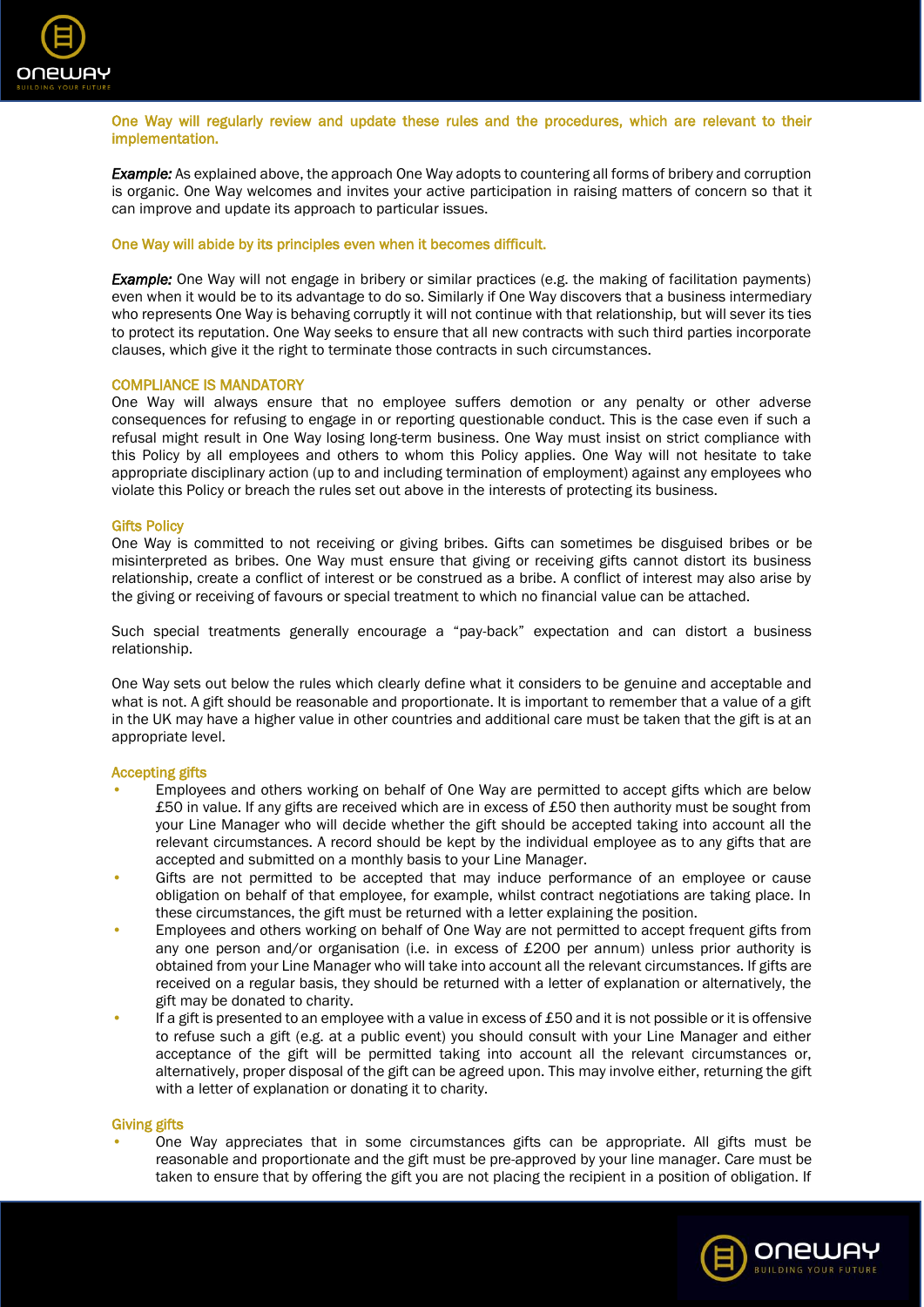

One Way will regularly review and update these rules and the procedures, which are relevant to their implementation.

*Example:* As explained above, the approach One Way adopts to countering all forms of bribery and corruption is organic. One Way welcomes and invites your active participation in raising matters of concern so that it can improve and update its approach to particular issues.

# One Way will abide by its principles even when it becomes difficult.

**Example:** One Way will not engage in bribery or similar practices (e.g. the making of facilitation payments) even when it would be to its advantage to do so. Similarly if One Way discovers that a business intermediary who represents One Way is behaving corruptly it will not continue with that relationship, but will sever its ties to protect its reputation. One Way seeks to ensure that all new contracts with such third parties incorporate clauses, which give it the right to terminate those contracts in such circumstances.

#### COMPLIANCE IS MANDATORY

One Way will always ensure that no employee suffers demotion or any penalty or other adverse consequences for refusing to engage in or reporting questionable conduct. This is the case even if such a refusal might result in One Way losing long-term business. One Way must insist on strict compliance with this Policy by all employees and others to whom this Policy applies. One Way will not hesitate to take appropriate disciplinary action (up to and including termination of employment) against any employees who violate this Policy or breach the rules set out above in the interests of protecting its business.

#### Gifts Policy

One Way is committed to not receiving or giving bribes. Gifts can sometimes be disguised bribes or be misinterpreted as bribes. One Way must ensure that giving or receiving gifts cannot distort its business relationship, create a conflict of interest or be construed as a bribe. A conflict of interest may also arise by the giving or receiving of favours or special treatment to which no financial value can be attached.

Such special treatments generally encourage a "pay-back" expectation and can distort a business relationship.

One Way sets out below the rules which clearly define what it considers to be genuine and acceptable and what is not. A gift should be reasonable and proportionate. It is important to remember that a value of a gift in the UK may have a higher value in other countries and additional care must be taken that the gift is at an appropriate level.

#### Accepting gifts

- Employees and others working on behalf of One Way are permitted to accept gifts which are below £50 in value. If any gifts are received which are in excess of £50 then authority must be sought from your Line Manager who will decide whether the gift should be accepted taking into account all the relevant circumstances. A record should be kept by the individual employee as to any gifts that are accepted and submitted on a monthly basis to your Line Manager.
- Gifts are not permitted to be accepted that may induce performance of an employee or cause obligation on behalf of that employee, for example, whilst contract negotiations are taking place. In these circumstances, the gift must be returned with a letter explaining the position.
- Employees and others working on behalf of One Way are not permitted to accept frequent gifts from any one person and/or organisation (i.e. in excess of £200 per annum) unless prior authority is obtained from your Line Manager who will take into account all the relevant circumstances. If gifts are received on a regular basis, they should be returned with a letter of explanation or alternatively, the gift may be donated to charity.
- If a gift is presented to an employee with a value in excess of £50 and it is not possible or it is offensive to refuse such a gift (e.g. at a public event) you should consult with your Line Manager and either acceptance of the gift will be permitted taking into account all the relevant circumstances or, alternatively, proper disposal of the gift can be agreed upon. This may involve either, returning the gift with a letter of explanation or donating it to charity.

#### Giving gifts

• One Way appreciates that in some circumstances gifts can be appropriate. All gifts must be reasonable and proportionate and the gift must be pre-approved by your line manager. Care must be taken to ensure that by offering the gift you are not placing the recipient in a position of obligation. If

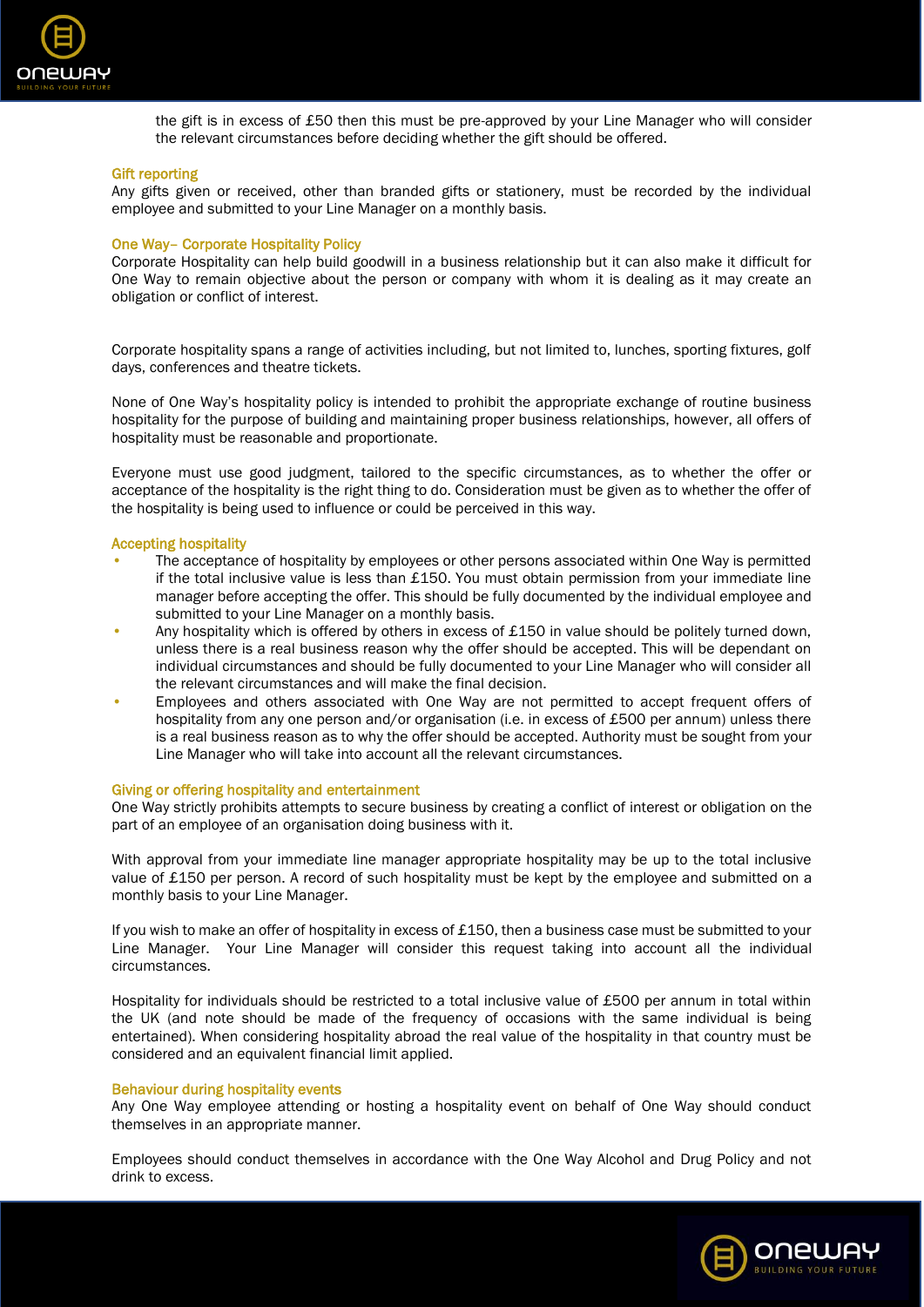

the gift is in excess of £50 then this must be pre-approved by your Line Manager who will consider the relevant circumstances before deciding whether the gift should be offered.

# Gift reporting

Any gifts given or received, other than branded gifts or stationery, must be recorded by the individual employee and submitted to your Line Manager on a monthly basis.

# One Way– Corporate Hospitality Policy

Corporate Hospitality can help build goodwill in a business relationship but it can also make it difficult for One Way to remain objective about the person or company with whom it is dealing as it may create an obligation or conflict of interest.

Corporate hospitality spans a range of activities including, but not limited to, lunches, sporting fixtures, golf days, conferences and theatre tickets.

None of One Way's hospitality policy is intended to prohibit the appropriate exchange of routine business hospitality for the purpose of building and maintaining proper business relationships, however, all offers of hospitality must be reasonable and proportionate.

Everyone must use good judgment, tailored to the specific circumstances, as to whether the offer or acceptance of the hospitality is the right thing to do. Consideration must be given as to whether the offer of the hospitality is being used to influence or could be perceived in this way.

#### Accepting hospitality

- The acceptance of hospitality by employees or other persons associated within One Way is permitted if the total inclusive value is less than £150. You must obtain permission from your immediate line manager before accepting the offer. This should be fully documented by the individual employee and submitted to your Line Manager on a monthly basis.
- Any hospitality which is offered by others in excess of £150 in value should be politely turned down, unless there is a real business reason why the offer should be accepted. This will be dependant on individual circumstances and should be fully documented to your Line Manager who will consider all the relevant circumstances and will make the final decision.
- Employees and others associated with One Way are not permitted to accept frequent offers of hospitality from any one person and/or organisation (i.e. in excess of £500 per annum) unless there is a real business reason as to why the offer should be accepted. Authority must be sought from your Line Manager who will take into account all the relevant circumstances.

#### Giving or offering hospitality and entertainment

One Way strictly prohibits attempts to secure business by creating a conflict of interest or obligation on the part of an employee of an organisation doing business with it.

With approval from your immediate line manager appropriate hospitality may be up to the total inclusive value of £150 per person. A record of such hospitality must be kept by the employee and submitted on a monthly basis to your Line Manager.

If you wish to make an offer of hospitality in excess of £150, then a business case must be submitted to your Line Manager. Your Line Manager will consider this request taking into account all the individual circumstances.

Hospitality for individuals should be restricted to a total inclusive value of £500 per annum in total within the UK (and note should be made of the frequency of occasions with the same individual is being entertained). When considering hospitality abroad the real value of the hospitality in that country must be considered and an equivalent financial limit applied.

#### Behaviour during hospitality events

Any One Way employee attending or hosting a hospitality event on behalf of One Way should conduct themselves in an appropriate manner.

Employees should conduct themselves in accordance with the One Way Alcohol and Drug Policy and not drink to excess.